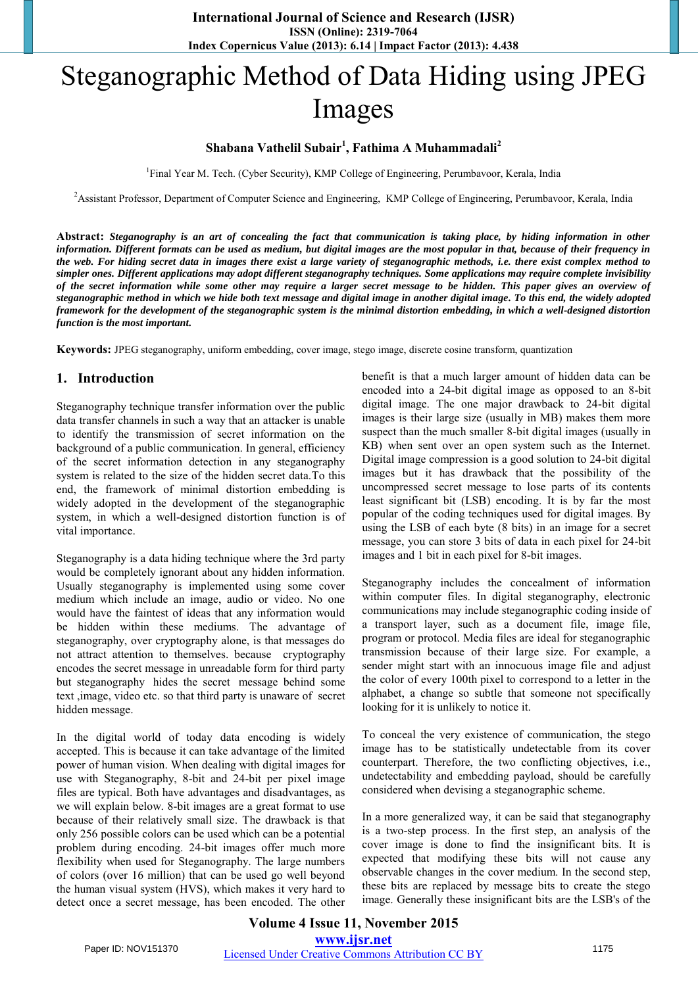# Steganographic Method of Data Hiding using JPEG Images

# **Shabana Vathelil Subair<sup>1</sup> , Fathima A Muhammadali<sup>2</sup>**

<sup>1</sup>Final Year M. Tech. (Cyber Security), KMP College of Engineering, Perumbavoor, Kerala, India

<sup>2</sup>Assistant Professor, Department of Computer Science and Engineering, KMP College of Engineering, Perumbavoor, Kerala, India

**Abstract:** *Steganography is an art of concealing the fact that communication is taking place, by hiding information in other information. Different formats can be used as medium, but digital images are the most popular in that, because of their frequency in the web. For hiding secret data in images there exist a large variety of steganographic methods, i.e. there exist complex method to simpler ones. Different applications may adopt different steganography techniques. Some applications may require complete invisibility of the secret information while some other may require a larger secret message to be hidden. This paper gives an overview of steganographic method in which we hide both text message and digital image in another digital image. To this end, the widely adopted framework for the development of the steganographic system is the minimal distortion embedding, in which a well-designed distortion function is the most important.*

**Keywords:** JPEG steganography, uniform embedding, cover image, stego image, discrete cosine transform, quantization

## **1. Introduction**

Steganography technique transfer information over the public data transfer channels in such a way that an attacker is unable to identify the transmission of secret information on the background of a public communication. In general, efficiency of the secret information detection in any steganography system is related to the size of the hidden secret data.To this end, the framework of minimal distortion embedding is widely adopted in the development of the steganographic system, in which a well-designed distortion function is of vital importance.

Steganography is a data hiding technique where the 3rd party would be completely ignorant about any hidden information. Usually steganography is implemented using some cover medium which include an image, audio or video. No one would have the faintest of ideas that any information would be hidden within these mediums. The advantage of steganography, over cryptography alone, is that messages do not attract attention to themselves. because cryptography encodes the secret message in unreadable form for third party but steganography hides the secret message behind some text ,image, video etc. so that third party is unaware of secret hidden message.

In the digital world of today data encoding is widely accepted. This is because it can take advantage of the limited power of human vision. When dealing with digital images for use with Steganography, 8-bit and 24-bit per pixel image files are typical. Both have advantages and disadvantages, as we will explain below. 8-bit images are a great format to use because of their relatively small size. The drawback is that only 256 possible colors can be used which can be a potential problem during encoding. 24-bit images offer much more flexibility when used for Steganography. The large numbers of colors (over 16 million) that can be used go well beyond the human visual system (HVS), which makes it very hard to detect once a secret message, has been encoded. The other benefit is that a much larger amount of hidden data can be encoded into a 24-bit digital image as opposed to an 8-bit digital image. The one major drawback to 24-bit digital images is their large size (usually in MB) makes them more suspect than the much smaller 8-bit digital images (usually in KB) when sent over an open system such as the Internet. Digital image compression is a good solution to 24-bit digital images but it has drawback that the possibility of the uncompressed secret message to lose parts of its contents least significant bit (LSB) encoding. It is by far the most popular of the coding techniques used for digital images. By using the LSB of each byte (8 bits) in an image for a secret message, you can store 3 bits of data in each pixel for 24-bit images and 1 bit in each pixel for 8-bit images.

Steganography includes the concealment of information within computer files. In digital steganography, electronic communications may include steganographic coding inside of a transport layer, such as a document file, image file, program or protocol. Media files are ideal for steganographic transmission because of their large size. For example, a sender might start with an innocuous image file and adjust the color of every 100t[h pixel](http://en.wikipedia.org/wiki/Pixel) to correspond to a letter in the alphabet, a change so subtle that someone not specifically looking for it is unlikely to notice it.

To conceal the very existence of communication, the stego image has to be statistically undetectable from its cover counterpart. Therefore, the two conflicting objectives, i.e., undetectability and embedding payload, should be carefully considered when devising a steganographic scheme.

In a more generalized way, it can be said that steganography is a two-step process. In the first step, an analysis of the cover image is done to find the insignificant bits. It is expected that modifying these bits will not cause any observable changes in the cover medium. In the second step, these bits are replaced by message bits to create the stego image. Generally these insignificant bits are the LSB's of the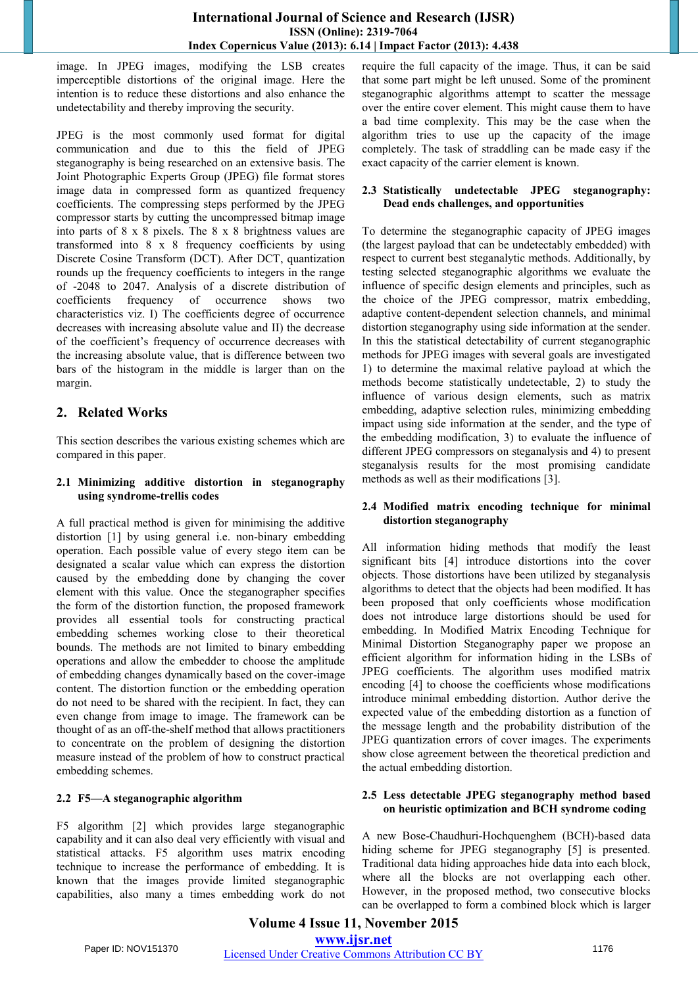image. In JPEG images, modifying the LSB creates imperceptible distortions of the original image. Here the intention is to reduce these distortions and also enhance the undetectability and thereby improving the security.

JPEG is the most commonly used format for digital communication and due to this the field of JPEG steganography is being researched on an extensive basis. The Joint Photographic Experts Group (JPEG) file format stores image data in compressed form as quantized frequency coefficients. The compressing steps performed by the JPEG compressor starts by cutting the uncompressed bitmap image into parts of 8 x 8 pixels. The 8 x 8 brightness values are transformed into 8 x 8 frequency coefficients by using Discrete Cosine Transform (DCT). After DCT, quantization rounds up the frequency coefficients to integers in the range of -2048 to 2047. Analysis of a discrete distribution of coefficients frequency of occurrence shows two characteristics viz. I) The coefficients degree of occurrence decreases with increasing absolute value and II) the decrease of the coefficient's frequency of occurrence decreases with the increasing absolute value, that is difference between two bars of the histogram in the middle is larger than on the margin.

# **2. Related Works**

This section describes the various existing schemes which are compared in this paper.

#### **2.1 Minimizing additive distortion in steganography using syndrome-trellis codes**

A full practical method is given for minimising the additive distortion [1] by using general i.e. non-binary embedding operation. Each possible value of every stego item can be designated a scalar value which can express the distortion caused by the embedding done by changing the cover element with this value. Once the steganographer specifies the form of the distortion function, the proposed framework provides all essential tools for constructing practical embedding schemes working close to their theoretical bounds. The methods are not limited to binary embedding operations and allow the embedder to choose the amplitude of embedding changes dynamically based on the cover-image content. The distortion function or the embedding operation do not need to be shared with the recipient. In fact, they can even change from image to image. The framework can be thought of as an off-the-shelf method that allows practitioners to concentrate on the problem of designing the distortion measure instead of the problem of how to construct practical embedding schemes.

## **2.2 F5—A steganographic algorithm**

F5 algorithm [2] which provides large steganographic capability and it can also deal very efficiently with visual and statistical attacks. F5 algorithm uses matrix encoding technique to increase the performance of embedding. It is known that the images provide limited steganographic capabilities, also many a times embedding work do not

require the full capacity of the image. Thus, it can be said that some part might be left unused. Some of the prominent steganographic algorithms attempt to scatter the message over the entire cover element. This might cause them to have a bad time complexity. This may be the case when the algorithm tries to use up the capacity of the image completely. The task of straddling can be made easy if the exact capacity of the carrier element is known.

#### **2.3 Statistically undetectable JPEG steganography: Dead ends challenges, and opportunities**

To determine the steganographic capacity of JPEG images (the largest payload that can be undetectably embedded) with respect to current best steganalytic methods. Additionally, by testing selected steganographic algorithms we evaluate the influence of specific design elements and principles, such as the choice of the JPEG compressor, matrix embedding, adaptive content-dependent selection channels, and minimal distortion steganography using side information at the sender. In this the statistical detectability of current steganographic methods for JPEG images with several goals are investigated 1) to determine the maximal relative payload at which the methods become statistically undetectable, 2) to study the influence of various design elements, such as matrix embedding, adaptive selection rules, minimizing embedding impact using side information at the sender, and the type of the embedding modification, 3) to evaluate the influence of different JPEG compressors on steganalysis and 4) to present steganalysis results for the most promising candidate methods as well as their modifications [3].

## **2.4 Modified matrix encoding technique for minimal distortion steganography**

All information hiding methods that modify the least significant bits [4] introduce distortions into the cover objects. Those distortions have been utilized by steganalysis algorithms to detect that the objects had been modified. It has been proposed that only coefficients whose modification does not introduce large distortions should be used for embedding. In Modified Matrix Encoding Technique for Minimal Distortion Steganography paper we propose an efficient algorithm for information hiding in the LSBs of JPEG coefficients. The algorithm uses modified matrix encoding [4] to choose the coefficients whose modifications introduce minimal embedding distortion. Author derive the expected value of the embedding distortion as a function of the message length and the probability distribution of the JPEG quantization errors of cover images. The experiments show close agreement between the theoretical prediction and the actual embedding distortion.

#### **2.5 Less detectable JPEG steganography method based on heuristic optimization and BCH syndrome coding**

A new Bose-Chaudhuri-Hochquenghem (BCH)-based data hiding scheme for JPEG steganography [5] is presented. Traditional data hiding approaches hide data into each block, where all the blocks are not overlapping each other. However, in the proposed method, two consecutive blocks can be overlapped to form a combined block which is larger

**Volume 4 Issue 11, November 2015 www.ijsr.net** Paper ID: NOV151370 Licensed Under Creative Commons Attribution CC BY 1176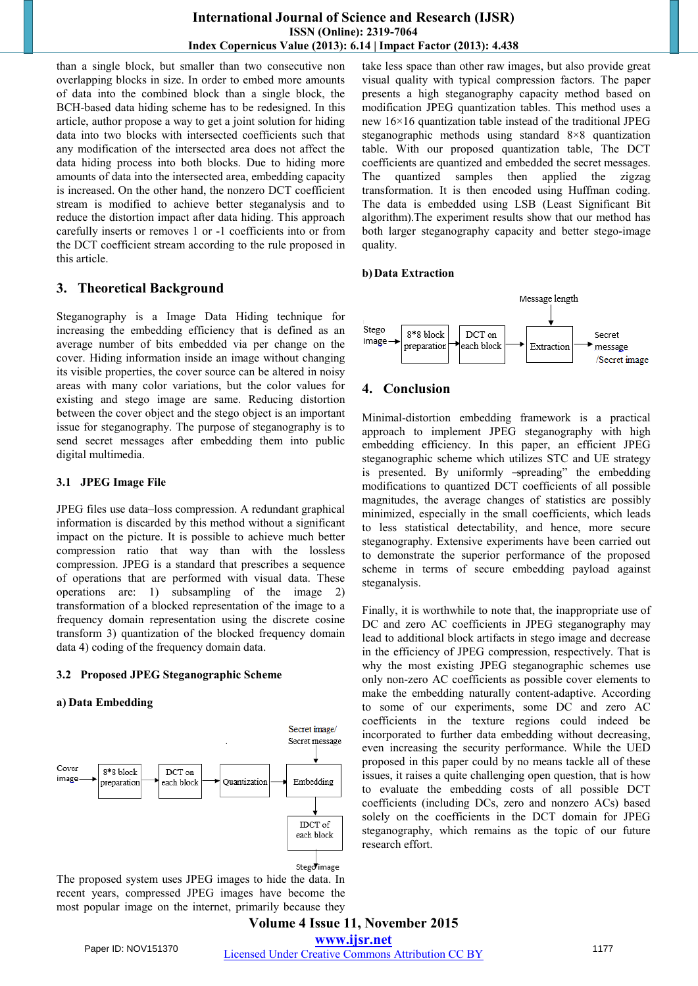than a single block, but smaller than two consecutive non overlapping blocks in size. In order to embed more amounts of data into the combined block than a single block, the BCH-based data hiding scheme has to be redesigned. In this article, author propose a way to get a joint solution for hiding data into two blocks with intersected coefficients such that any modification of the intersected area does not affect the data hiding process into both blocks. Due to hiding more amounts of data into the intersected area, embedding capacity is increased. On the other hand, the nonzero DCT coefficient stream is modified to achieve better steganalysis and to reduce the distortion impact after data hiding. This approach carefully inserts or removes 1 or -1 coefficients into or from the DCT coefficient stream according to the rule proposed in this article.

# **3. Theoretical Background**

Steganography is a Image Data Hiding technique for increasing the embedding efficiency that is defined as an average number of bits embedded via per change on the cover. Hiding information inside an image without changing its visible properties, the cover source can be altered in noisy areas with many color variations, but the color values for existing and stego image are same. Reducing distortion between the cover object and the stego object is an important issue for steganography. The purpose of steganography is to send secret messages after embedding them into public digital multimedia.

## **3.1 JPEG Image File**

JPEG files use data–loss compression. A redundant graphical information is discarded by this method without a significant impact on the picture. It is possible to achieve much better compression ratio that way than with the lossless compression. JPEG is a standard that prescribes a sequence of operations that are performed with visual data. These operations are: 1) subsampling of the image 2) transformation of a blocked representation of the image to a frequency domain representation using the discrete cosine transform 3) quantization of the blocked frequency domain data 4) coding of the frequency domain data.

## **3.2 Proposed JPEG Steganographic Scheme**

## **a) Data Embedding**



The proposed system uses JPEG images to hide the data. In recent years, compressed JPEG images have become the most popular image on the internet, primarily because they

take less space than other raw images, but also provide great visual quality with typical compression factors. The paper presents a high steganography capacity method based on modification JPEG quantization tables. This method uses a new 16×16 quantization table instead of the traditional JPEG steganographic methods using standard 8×8 quantization table. With our proposed quantization table, The DCT coefficients are quantized and embedded the secret messages. The quantized samples then applied the zigzag transformation. It is then encoded using Huffman coding. The data is embedded using LSB (Least Significant Bit algorithm).The experiment results show that our method has both larger steganography capacity and better stego-image quality.

#### **b)Data Extraction**



# **4. Conclusion**

Minimal-distortion embedding framework is a practical approach to implement JPEG steganography with high embedding efficiency. In this paper, an efficient JPEG steganographic scheme which utilizes STC and UE strategy is presented. By uniformly -spreading" the embedding modifications to quantized DCT coefficients of all possible magnitudes, the average changes of statistics are possibly minimized, especially in the small coefficients, which leads to less statistical detectability, and hence, more secure steganography. Extensive experiments have been carried out to demonstrate the superior performance of the proposed scheme in terms of secure embedding payload against steganalysis.

Finally, it is worthwhile to note that, the inappropriate use of DC and zero AC coefficients in JPEG steganography may lead to additional block artifacts in stego image and decrease in the efficiency of JPEG compression, respectively. That is why the most existing JPEG steganographic schemes use only non-zero AC coefficients as possible cover elements to make the embedding naturally content-adaptive. According to some of our experiments, some DC and zero AC coefficients in the texture regions could indeed be incorporated to further data embedding without decreasing, even increasing the security performance. While the UED proposed in this paper could by no means tackle all of these issues, it raises a quite challenging open question, that is how to evaluate the embedding costs of all possible DCT coefficients (including DCs, zero and nonzero ACs) based solely on the coefficients in the DCT domain for JPEG steganography, which remains as the topic of our future research effort.